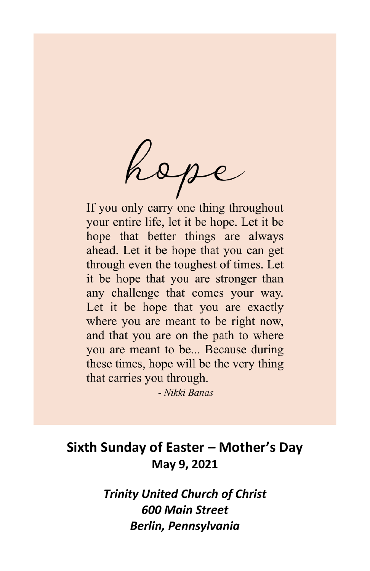hope

If you only carry one thing throughout your entire life, let it be hope. Let it be hope that better things are always ahead. Let it be hope that you can get through even the toughest of times. Let it be hope that you are stronger than any challenge that comes your way. Let it be hope that you are exactly where you are meant to be right now, and that you are on the path to where you are meant to be... Because during these times, hope will be the very thing that carries you through.

- Nikki Banas

# **Sixth Sunday of Easter – Mother's Day May 9, 2021**

*Trinity United Church of Christ 600 Main Street Berlin, Pennsylvania*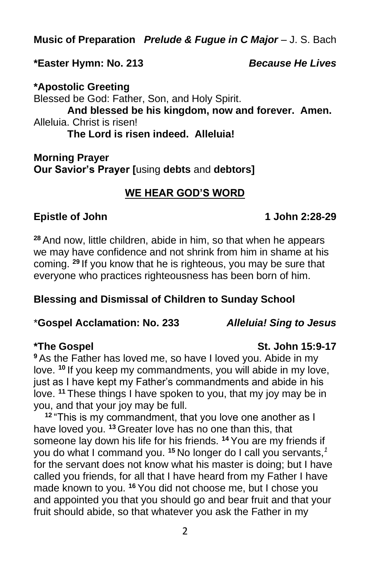**Music of Preparation** *Prelude & Fugue in C Major* – J. S. Bach

#### **\*Easter Hymn: No. 213** *Because He Lives*

**\*Apostolic Greeting** Blessed be God: Father, Son, and Holy Spirit. **And blessed be his kingdom, now and forever. Amen.** Alleluia. Christ is risen! **The Lord is risen indeed. Alleluia!**

**Morning Prayer Our Savior's Prayer [**using **debts** and **debtors]**

# **WE HEAR GOD'S WORD**

#### **Epistle of John 1 John 2:28-29**

**<sup>28</sup>** And now, little children, abide in him, so that when he appears we may have confidence and not shrink from him in shame at his coming. **<sup>29</sup>** If you know that he is righteous, you may be sure that everyone who practices righteousness has been born of him.

## **Blessing and Dismissal of Children to Sunday School**

#### \***Gospel Acclamation: No. 233** *Alleluia! Sing to Jesus*

**<sup>9</sup>** As the Father has loved me, so have I loved you. Abide in my love. **<sup>10</sup>** If you keep my commandments, you will abide in my love, just as I have kept my Father's commandments and abide in his love. **<sup>11</sup>** These things I have spoken to you, that my joy may be in you, and that your joy may be full.

**<sup>12</sup>** "This is my commandment, that you love one another as I have loved you. **<sup>13</sup>** Greater love has no one than this, that someone lay down his life for his friends. **<sup>14</sup>** You are my friends if you do what I command you. **<sup>15</sup>** No longer do I call you servants,*<sup>1</sup>* for the servant does not know what his master is doing; but I have called you friends, for all that I have heard from my Father I have made known to you. **<sup>16</sup>** You did not choose me, but I chose you and appointed you that you should go and bear fruit and that your fruit should abide, so that whatever you ask the Father in my

#### **\*The Gospel St. John 15:9-17**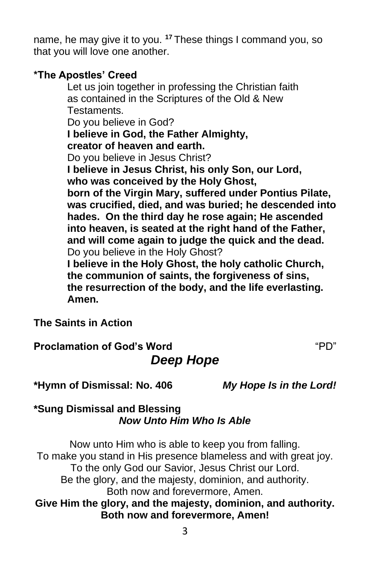name, he may give it to you. **<sup>17</sup>** These things I command you, so that you will love one another.

#### **\*The Apostles' Creed**

Let us join together in professing the Christian faith as contained in the Scriptures of the Old & New Testaments.

Do you believe in God?

**I believe in God, the Father Almighty,**

**creator of heaven and earth.**

Do you believe in Jesus Christ?

**I believe in Jesus Christ, his only Son, our Lord, who was conceived by the Holy Ghost,**

**born of the Virgin Mary, suffered under Pontius Pilate, was crucified, died, and was buried; he descended into hades. On the third day he rose again; He ascended into heaven, is seated at the right hand of the Father, and will come again to judge the quick and the dead.** Do you believe in the Holy Ghost?

**I believe in the Holy Ghost, the holy catholic Church, the communion of saints, the forgiveness of sins, the resurrection of the body, and the life everlasting. Amen.**

**The Saints in Action**

**Proclamation of God's Word** "PD" *Deep Hope*

**\*Hymn of Dismissal: No. 406** *My Hope Is in the Lord!*

### **\*Sung Dismissal and Blessing** *Now Unto Him Who Is Able*

Now unto Him who is able to keep you from falling. To make you stand in His presence blameless and with great joy. To the only God our Savior, Jesus Christ our Lord. Be the glory, and the majesty, dominion, and authority. Both now and forevermore, Amen. **Give Him the glory, and the majesty, dominion, and authority.**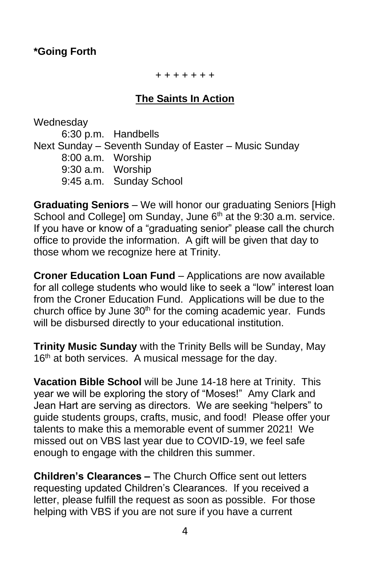#### **\*Going Forth**

+ + + + + + +

#### **The Saints In Action**

Wednesday 6:30 p.m. Handbells Next Sunday – Seventh Sunday of Easter – Music Sunday 8:00 a.m. Worship 9:30 a.m. Worship 9:45 a.m. Sunday School

**Graduating Seniors** – We will honor our graduating Seniors [High School and College] om Sunday, June 6<sup>th</sup> at the 9:30 a.m. service. If you have or know of a "graduating senior" please call the church office to provide the information. A gift will be given that day to those whom we recognize here at Trinity.

**Croner Education Loan Fund** – Applications are now available for all college students who would like to seek a "low" interest loan from the Croner Education Fund. Applications will be due to the church office by June  $30<sup>th</sup>$  for the coming academic year. Funds will be disbursed directly to your educational institution.

**Trinity Music Sunday** with the Trinity Bells will be Sunday, May 16<sup>th</sup> at both services. A musical message for the day.

**Vacation Bible School** will be June 14-18 here at Trinity. This year we will be exploring the story of "Moses!" Amy Clark and Jean Hart are serving as directors. We are seeking "helpers" to guide students groups, crafts, music, and food! Please offer your talents to make this a memorable event of summer 2021! We missed out on VBS last year due to COVID-19, we feel safe enough to engage with the children this summer.

**Children's Clearances –** The Church Office sent out letters requesting updated Children's Clearances. If you received a letter, please fulfill the request as soon as possible. For those helping with VBS if you are not sure if you have a current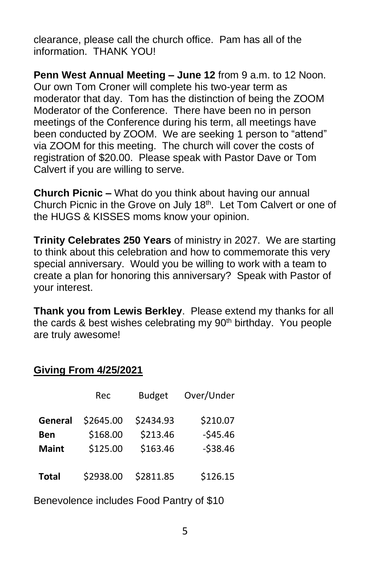clearance, please call the church office. Pam has all of the information. THANK YOU!

**Penn West Annual Meeting – June 12** from 9 a.m. to 12 Noon. Our own Tom Croner will complete his two-year term as moderator that day. Tom has the distinction of being the ZOOM Moderator of the Conference. There have been no in person meetings of the Conference during his term, all meetings have been conducted by ZOOM. We are seeking 1 person to "attend" via ZOOM for this meeting. The church will cover the costs of registration of \$20.00. Please speak with Pastor Dave or Tom Calvert if you are willing to serve.

**Church Picnic –** What do you think about having our annual Church Picnic in the Grove on July 18<sup>th</sup>. Let Tom Calvert or one of the HUGS & KISSES moms know your opinion.

**Trinity Celebrates 250 Years** of ministry in 2027. We are starting to think about this celebration and how to commemorate this very special anniversary. Would you be willing to work with a team to create a plan for honoring this anniversary? Speak with Pastor of your interest.

**Thank you from Lewis Berkley**. Please extend my thanks for all the cards & best wishes celebrating my 90<sup>th</sup> birthday. You people are truly awesome!

#### **Giving From 4/25/2021**

|              | Rec       | <b>Budget</b> | Over/Under |
|--------------|-----------|---------------|------------|
| General      | \$2645.00 | \$2434.93     | \$210.07   |
| Ben          | \$168.00  | \$213.46      | $-545.46$  |
| <b>Maint</b> | \$125.00  | \$163.46      | $-538.46$  |
| <b>Total</b> | \$2938.00 | \$2811.85     | \$126.15   |

Benevolence includes Food Pantry of \$10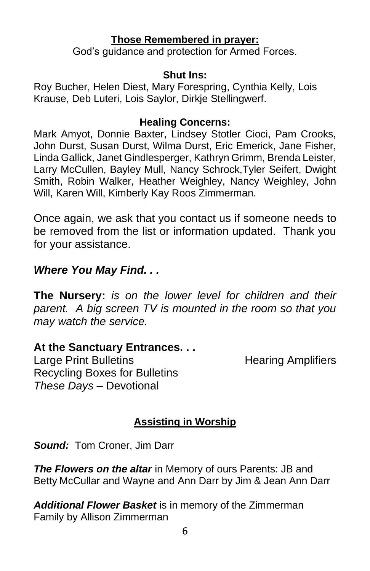#### **Those Remembered in prayer:**

God's guidance and protection for Armed Forces.

#### **Shut Ins:**

Roy Bucher, Helen Diest, Mary Forespring, Cynthia Kelly, Lois Krause, Deb Luteri, Lois Saylor, Dirkje Stellingwerf.

#### **Healing Concerns:**

Mark Amyot, Donnie Baxter, Lindsey Stotler Cioci, Pam Crooks, John Durst, Susan Durst, Wilma Durst, Eric Emerick, Jane Fisher, Linda Gallick, Janet Gindlesperger, Kathryn Grimm, Brenda Leister, Larry McCullen, Bayley Mull, Nancy Schrock,Tyler Seifert, Dwight Smith, Robin Walker, Heather Weighley, Nancy Weighley, John Will, Karen Will, Kimberly Kay Roos Zimmerman.

Once again, we ask that you contact us if someone needs to be removed from the list or information updated. Thank you for your assistance.

# *Where You May Find. . .*

**The Nursery:** *is on the lower level for children and their parent. A big screen TV is mounted in the room so that you may watch the service.*

## **At the Sanctuary Entrances. . .**

Large Print Bulletins **Example 20** Hearing Amplifiers Recycling Boxes for Bulletins *These Days –* Devotional

# **Assisting in Worship**

*Sound:* Tom Croner, Jim Darr

*The Flowers on the altar* in Memory of ours Parents: JB and Betty McCullar and Wayne and Ann Darr by Jim & Jean Ann Darr

*Additional Flower Basket* is in memory of the Zimmerman Family by Allison Zimmerman